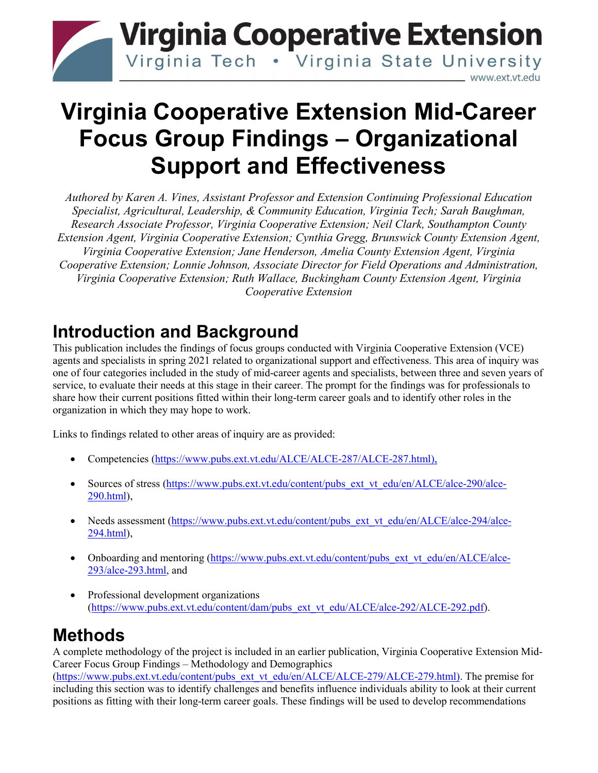

# **Virginia Cooperative Extension Mid-Career Focus Group Findings – Organizational Support and Effectiveness**

*Authored by Karen A. Vines, Assistant Professor and Extension Continuing Professional Education Specialist, Agricultural, Leadership, & Community Education, Virginia Tech; Sarah Baughman, Research Associate Professor, Virginia Cooperative Extension; Neil Clark, Southampton County Extension Agent, Virginia Cooperative Extension; Cynthia Gregg, Brunswick County Extension Agent, Virginia Cooperative Extension; Jane Henderson, Amelia County Extension Agent, Virginia Cooperative Extension; Lonnie Johnson, Associate Director for Field Operations and Administration, Virginia Cooperative Extension; Ruth Wallace, Buckingham County Extension Agent, Virginia Cooperative Extension*

## **Introduction and Background**

This publication includes the findings of focus groups conducted with Virginia Cooperative Extension (VCE) agents and specialists in spring 2021 related to organizational support and effectiveness. This area of inquiry was one of four categories included in the study of mid-career agents and specialists, between three and seven years of service, to evaluate their needs at this stage in their career. The prompt for the findings was for professionals to share how their current positions fitted within their long-term career goals and to identify other roles in the organization in which they may hope to work.

Links to findings related to other areas of inquiry are as provided:

- Competencies [\(https://www.pubs.ext.vt.edu/ALCE/ALCE-287/ALCE-287.html\)](https://www.pubs.ext.vt.edu/ALCE/ALCE-287/ALCE-287.html),
- Sources of stress [\(https://www.pubs.ext.vt.edu/content/pubs\\_ext\\_vt\\_edu/en/ALCE/alce-290/alce-](https://www.pubs.ext.vt.edu/content/pubs_ext_vt_edu/en/ALCE/alce-290/alce-290.html)[290.html\)](https://www.pubs.ext.vt.edu/content/pubs_ext_vt_edu/en/ALCE/alce-290/alce-290.html),
- Needs assessment [\(https://www.pubs.ext.vt.edu/content/pubs\\_ext\\_vt\\_edu/en/ALCE/alce-294/alce-](https://www.pubs.ext.vt.edu/content/pubs_ext_vt_edu/en/ALCE/alce-294/alce-294.html)[294.html\)](https://www.pubs.ext.vt.edu/content/pubs_ext_vt_edu/en/ALCE/alce-294/alce-294.html),
- Onboarding and mentoring [\(https://www.pubs.ext.vt.edu/content/pubs\\_ext\\_vt\\_edu/en/ALCE/alce-](https://www.pubs.ext.vt.edu/content/pubs_ext_vt_edu/en/ALCE/alce-293/alce-293.html)[293/alce-293.html,](https://www.pubs.ext.vt.edu/content/pubs_ext_vt_edu/en/ALCE/alce-293/alce-293.html) and
- Professional development organizations [\(https://www.pubs.ext.vt.edu/content/dam/pubs\\_ext\\_vt\\_edu/ALCE/alce-292/ALCE-292.pdf\)](https://www.pubs.ext.vt.edu/content/dam/pubs_ext_vt_edu/ALCE/alce-292/ALCE-292.pdf).

## **Methods**

A complete methodology of the project is included in an earlier publication, Virginia Cooperative Extension Mid-Career Focus Group Findings – Methodology and Demographics [\(https://www.pubs.ext.vt.edu/content/pubs\\_ext\\_vt\\_edu/en/ALCE/ALCE-279/ALCE-279.html\)](https://www.pubs.ext.vt.edu/content/pubs_ext_vt_edu/en/ALCE/ALCE-279/ALCE-279.html). The premise for including this section was to identify challenges and benefits influence individuals ability to look at their current positions as fitting with their long-term career goals. These findings will be used to develop recommendations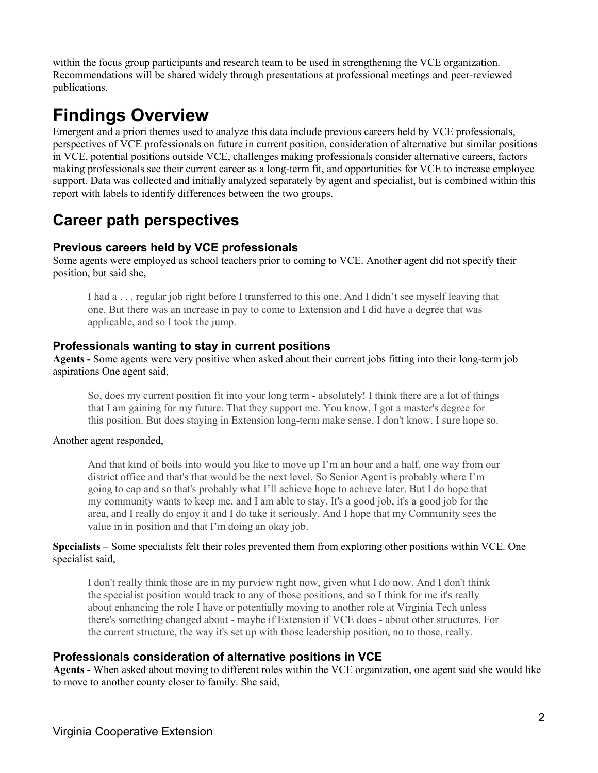within the focus group participants and research team to be used in strengthening the VCE organization. Recommendations will be shared widely through presentations at professional meetings and peer-reviewed publications.

## **Findings Overview**

Emergent and a priori themes used to analyze this data include previous careers held by VCE professionals, perspectives of VCE professionals on future in current position, consideration of alternative but similar positions in VCE, potential positions outside VCE, challenges making professionals consider alternative careers, factors making professionals see their current career as a long-term fit, and opportunities for VCE to increase employee support. Data was collected and initially analyzed separately by agent and specialist, but is combined within this report with labels to identify differences between the two groups.

## **Career path perspectives**

#### **Previous careers held by VCE professionals**

Some agents were employed as school teachers prior to coming to VCE. Another agent did not specify their position, but said she,

I had a . . . regular job right before I transferred to this one. And I didn't see myself leaving that one. But there was an increase in pay to come to Extension and I did have a degree that was applicable, and so I took the jump.

#### **Professionals wanting to stay in current positions**

**Agents -** Some agents were very positive when asked about their current jobs fitting into their long-term job aspirations One agent said,

So, does my current position fit into your long term - absolutely! I think there are a lot of things that I am gaining for my future. That they support me. You know, I got a master's degree for this position. But does staying in Extension long-term make sense, I don't know. I sure hope so.

#### Another agent responded,

And that kind of boils into would you like to move up I'm an hour and a half, one way from our district office and that's that would be the next level. So Senior Agent is probably where I'm going to cap and so that's probably what I'll achieve hope to achieve later. But I do hope that my community wants to keep me, and I am able to stay. It's a good job, it's a good job for the area, and I really do enjoy it and I do take it seriously. And I hope that my Community sees the value in in position and that I'm doing an okay job.

#### **Specialists** – Some specialists felt their roles prevented them from exploring other positions within VCE. One specialist said,

I don't really think those are in my purview right now, given what I do now. And I don't think the specialist position would track to any of those positions, and so I think for me it's really about enhancing the role I have or potentially moving to another role at Virginia Tech unless there's something changed about - maybe if Extension if VCE does - about other structures. For the current structure, the way it's set up with those leadership position, no to those, really.

#### **Professionals consideration of alternative positions in VCE**

**Agents -** When asked about moving to different roles within the VCE organization, one agent said she would like to move to another county closer to family. She said,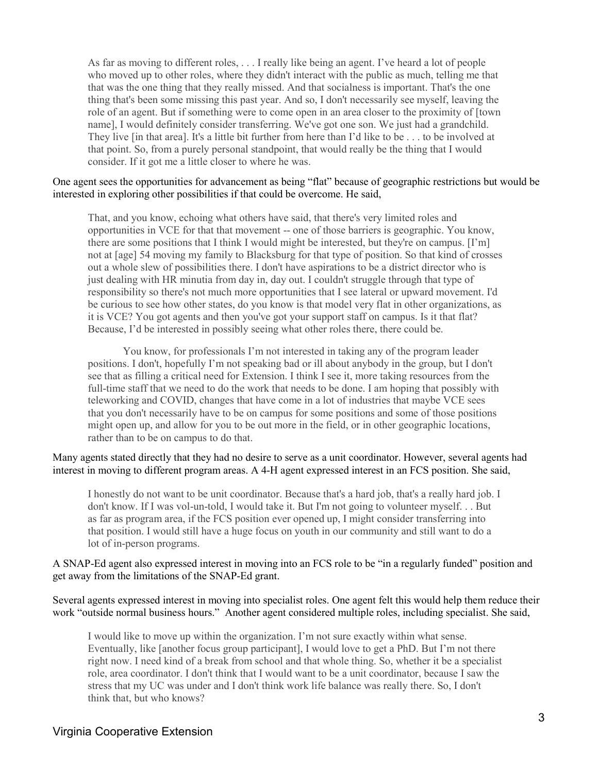As far as moving to different roles, . . . I really like being an agent. I've heard a lot of people who moved up to other roles, where they didn't interact with the public as much, telling me that that was the one thing that they really missed. And that socialness is important. That's the one thing that's been some missing this past year. And so, I don't necessarily see myself, leaving the role of an agent. But if something were to come open in an area closer to the proximity of [town name], I would definitely consider transferring. We've got one son. We just had a grandchild. They live [in that area]. It's a little bit further from here than I'd like to be . . . to be involved at that point. So, from a purely personal standpoint, that would really be the thing that I would consider. If it got me a little closer to where he was.

#### One agent sees the opportunities for advancement as being "flat" because of geographic restrictions but would be interested in exploring other possibilities if that could be overcome. He said,

That, and you know, echoing what others have said, that there's very limited roles and opportunities in VCE for that that movement -- one of those barriers is geographic. You know, there are some positions that I think I would might be interested, but they're on campus. [I'm] not at [age] 54 moving my family to Blacksburg for that type of position. So that kind of crosses out a whole slew of possibilities there. I don't have aspirations to be a district director who is just dealing with HR minutia from day in, day out. I couldn't struggle through that type of responsibility so there's not much more opportunities that I see lateral or upward movement. I'd be curious to see how other states, do you know is that model very flat in other organizations, as it is VCE? You got agents and then you've got your support staff on campus. Is it that flat? Because, I'd be interested in possibly seeing what other roles there, there could be.

You know, for professionals I'm not interested in taking any of the program leader positions. I don't, hopefully I'm not speaking bad or ill about anybody in the group, but I don't see that as filling a critical need for Extension. I think I see it, more taking resources from the full-time staff that we need to do the work that needs to be done. I am hoping that possibly with teleworking and COVID, changes that have come in a lot of industries that maybe VCE sees that you don't necessarily have to be on campus for some positions and some of those positions might open up, and allow for you to be out more in the field, or in other geographic locations, rather than to be on campus to do that.

#### Many agents stated directly that they had no desire to serve as a unit coordinator. However, several agents had interest in moving to different program areas. A 4-H agent expressed interest in an FCS position. She said,

I honestly do not want to be unit coordinator. Because that's a hard job, that's a really hard job. I don't know. If I was vol-un-told, I would take it. But I'm not going to volunteer myself. . . But as far as program area, if the FCS position ever opened up, I might consider transferring into that position. I would still have a huge focus on youth in our community and still want to do a lot of in-person programs.

A SNAP-Ed agent also expressed interest in moving into an FCS role to be "in a regularly funded" position and get away from the limitations of the SNAP-Ed grant.

#### Several agents expressed interest in moving into specialist roles. One agent felt this would help them reduce their work "outside normal business hours." Another agent considered multiple roles, including specialist. She said,

I would like to move up within the organization. I'm not sure exactly within what sense. Eventually, like [another focus group participant], I would love to get a PhD. But I'm not there right now. I need kind of a break from school and that whole thing. So, whether it be a specialist role, area coordinator. I don't think that I would want to be a unit coordinator, because I saw the stress that my UC was under and I don't think work life balance was really there. So, I don't think that, but who knows?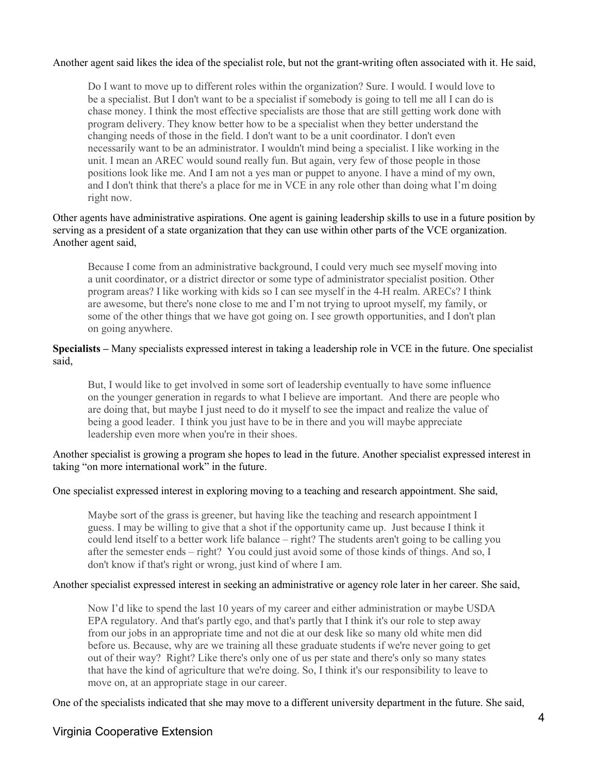#### Another agent said likes the idea of the specialist role, but not the grant-writing often associated with it. He said,

Do I want to move up to different roles within the organization? Sure. I would. I would love to be a specialist. But I don't want to be a specialist if somebody is going to tell me all I can do is chase money. I think the most effective specialists are those that are still getting work done with program delivery. They know better how to be a specialist when they better understand the changing needs of those in the field. I don't want to be a unit coordinator. I don't even necessarily want to be an administrator. I wouldn't mind being a specialist. I like working in the unit. I mean an AREC would sound really fun. But again, very few of those people in those positions look like me. And I am not a yes man or puppet to anyone. I have a mind of my own, and I don't think that there's a place for me in VCE in any role other than doing what I'm doing right now.

#### Other agents have administrative aspirations. One agent is gaining leadership skills to use in a future position by serving as a president of a state organization that they can use within other parts of the VCE organization. Another agent said,

Because I come from an administrative background, I could very much see myself moving into a unit coordinator, or a district director or some type of administrator specialist position. Other program areas? I like working with kids so I can see myself in the 4-H realm. ARECs? I think are awesome, but there's none close to me and I'm not trying to uproot myself, my family, or some of the other things that we have got going on. I see growth opportunities, and I don't plan on going anywhere.

#### **Specialists –** Many specialists expressed interest in taking a leadership role in VCE in the future. One specialist said,

But, I would like to get involved in some sort of leadership eventually to have some influence on the younger generation in regards to what I believe are important. And there are people who are doing that, but maybe I just need to do it myself to see the impact and realize the value of being a good leader. I think you just have to be in there and you will maybe appreciate leadership even more when you're in their shoes.

Another specialist is growing a program she hopes to lead in the future. Another specialist expressed interest in taking "on more international work" in the future.

One specialist expressed interest in exploring moving to a teaching and research appointment. She said,

Maybe sort of the grass is greener, but having like the teaching and research appointment I guess. I may be willing to give that a shot if the opportunity came up. Just because I think it could lend itself to a better work life balance – right? The students aren't going to be calling you after the semester ends – right? You could just avoid some of those kinds of things. And so, I don't know if that's right or wrong, just kind of where I am.

#### Another specialist expressed interest in seeking an administrative or agency role later in her career. She said,

Now I'd like to spend the last 10 years of my career and either administration or maybe USDA EPA regulatory. And that's partly ego, and that's partly that I think it's our role to step away from our jobs in an appropriate time and not die at our desk like so many old white men did before us. Because, why are we training all these graduate students if we're never going to get out of their way? Right? Like there's only one of us per state and there's only so many states that have the kind of agriculture that we're doing. So, I think it's our responsibility to leave to move on, at an appropriate stage in our career.

One of the specialists indicated that she may move to a different university department in the future. She said,

#### Virginia Cooperative Extension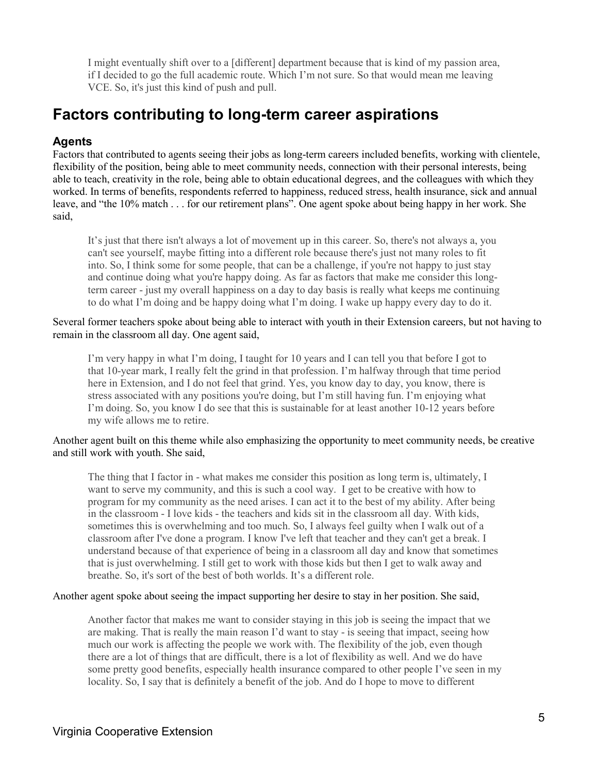I might eventually shift over to a [different] department because that is kind of my passion area, if I decided to go the full academic route. Which I'm not sure. So that would mean me leaving VCE. So, it's just this kind of push and pull.

## **Factors contributing to long-term career aspirations**

#### **Agents**

Factors that contributed to agents seeing their jobs as long-term careers included benefits, working with clientele, flexibility of the position, being able to meet community needs, connection with their personal interests, being able to teach, creativity in the role, being able to obtain educational degrees, and the colleagues with which they worked. In terms of benefits, respondents referred to happiness, reduced stress, health insurance, sick and annual leave, and "the 10% match . . . for our retirement plans". One agent spoke about being happy in her work. She said,

It's just that there isn't always a lot of movement up in this career. So, there's not always a, you can't see yourself, maybe fitting into a different role because there's just not many roles to fit into. So, I think some for some people, that can be a challenge, if you're not happy to just stay and continue doing what you're happy doing. As far as factors that make me consider this longterm career - just my overall happiness on a day to day basis is really what keeps me continuing to do what I'm doing and be happy doing what I'm doing. I wake up happy every day to do it.

Several former teachers spoke about being able to interact with youth in their Extension careers, but not having to remain in the classroom all day. One agent said,

I'm very happy in what I'm doing, I taught for 10 years and I can tell you that before I got to that 10-year mark, I really felt the grind in that profession. I'm halfway through that time period here in Extension, and I do not feel that grind. Yes, you know day to day, you know, there is stress associated with any positions you're doing, but I'm still having fun. I'm enjoying what I'm doing. So, you know I do see that this is sustainable for at least another 10-12 years before my wife allows me to retire.

#### Another agent built on this theme while also emphasizing the opportunity to meet community needs, be creative and still work with youth. She said,

The thing that I factor in - what makes me consider this position as long term is, ultimately, I want to serve my community, and this is such a cool way. I get to be creative with how to program for my community as the need arises. I can act it to the best of my ability. After being in the classroom - I love kids - the teachers and kids sit in the classroom all day. With kids, sometimes this is overwhelming and too much. So, I always feel guilty when I walk out of a classroom after I've done a program. I know I've left that teacher and they can't get a break. I understand because of that experience of being in a classroom all day and know that sometimes that is just overwhelming. I still get to work with those kids but then I get to walk away and breathe. So, it's sort of the best of both worlds. It's a different role.

Another agent spoke about seeing the impact supporting her desire to stay in her position. She said,

Another factor that makes me want to consider staying in this job is seeing the impact that we are making. That is really the main reason I'd want to stay - is seeing that impact, seeing how much our work is affecting the people we work with. The flexibility of the job, even though there are a lot of things that are difficult, there is a lot of flexibility as well. And we do have some pretty good benefits, especially health insurance compared to other people I've seen in my locality. So, I say that is definitely a benefit of the job. And do I hope to move to different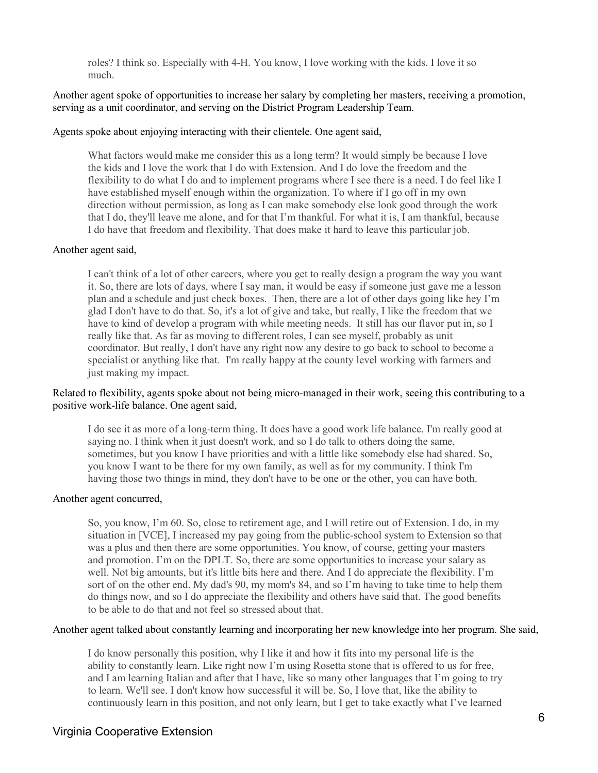roles? I think so. Especially with 4-H. You know, I love working with the kids. I love it so much.

Another agent spoke of opportunities to increase her salary by completing her masters, receiving a promotion, serving as a unit coordinator, and serving on the District Program Leadership Team.

#### Agents spoke about enjoying interacting with their clientele. One agent said,

What factors would make me consider this as a long term? It would simply be because I love the kids and I love the work that I do with Extension. And I do love the freedom and the flexibility to do what I do and to implement programs where I see there is a need. I do feel like I have established myself enough within the organization. To where if I go off in my own direction without permission, as long as I can make somebody else look good through the work that I do, they'll leave me alone, and for that I'm thankful. For what it is, I am thankful, because I do have that freedom and flexibility. That does make it hard to leave this particular job.

#### Another agent said,

I can't think of a lot of other careers, where you get to really design a program the way you want it. So, there are lots of days, where I say man, it would be easy if someone just gave me a lesson plan and a schedule and just check boxes. Then, there are a lot of other days going like hey I'm glad I don't have to do that. So, it's a lot of give and take, but really, I like the freedom that we have to kind of develop a program with while meeting needs. It still has our flavor put in, so I really like that. As far as moving to different roles, I can see myself, probably as unit coordinator. But really, I don't have any right now any desire to go back to school to become a specialist or anything like that. I'm really happy at the county level working with farmers and just making my impact.

#### Related to flexibility, agents spoke about not being micro-managed in their work, seeing this contributing to a positive work-life balance. One agent said,

I do see it as more of a long-term thing. It does have a good work life balance. I'm really good at saying no. I think when it just doesn't work, and so I do talk to others doing the same, sometimes, but you know I have priorities and with a little like somebody else had shared. So, you know I want to be there for my own family, as well as for my community. I think I'm having those two things in mind, they don't have to be one or the other, you can have both.

#### Another agent concurred,

So, you know, I'm 60. So, close to retirement age, and I will retire out of Extension. I do, in my situation in [VCE], I increased my pay going from the public-school system to Extension so that was a plus and then there are some opportunities. You know, of course, getting your masters and promotion. I'm on the DPLT. So, there are some opportunities to increase your salary as well. Not big amounts, but it's little bits here and there. And I do appreciate the flexibility. I'm sort of on the other end. My dad's 90, my mom's 84, and so I'm having to take time to help them do things now, and so I do appreciate the flexibility and others have said that. The good benefits to be able to do that and not feel so stressed about that.

#### Another agent talked about constantly learning and incorporating her new knowledge into her program. She said,

I do know personally this position, why I like it and how it fits into my personal life is the ability to constantly learn. Like right now I'm using Rosetta stone that is offered to us for free, and I am learning Italian and after that I have, like so many other languages that I'm going to try to learn. We'll see. I don't know how successful it will be. So, I love that, like the ability to continuously learn in this position, and not only learn, but I get to take exactly what I've learned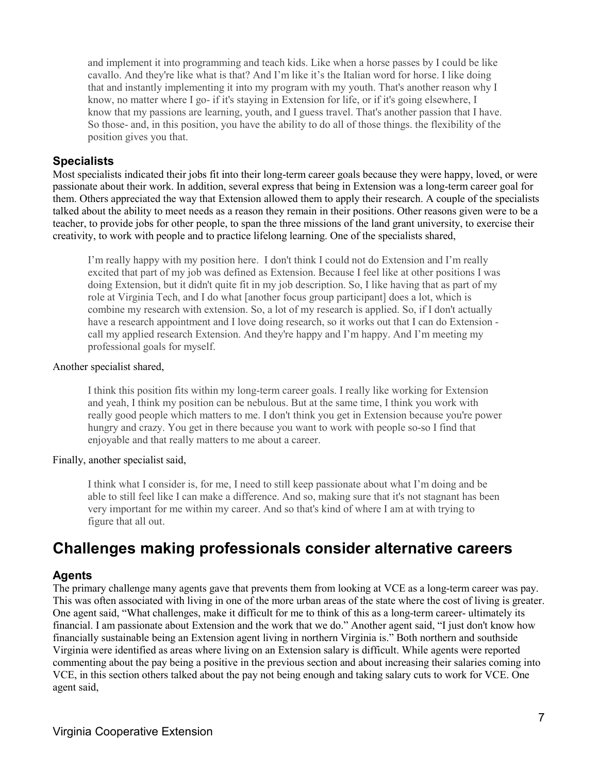and implement it into programming and teach kids. Like when a horse passes by I could be like cavallo. And they're like what is that? And I'm like it's the Italian word for horse. I like doing that and instantly implementing it into my program with my youth. That's another reason why I know, no matter where I go- if it's staying in Extension for life, or if it's going elsewhere, I know that my passions are learning, youth, and I guess travel. That's another passion that I have. So those- and, in this position, you have the ability to do all of those things. the flexibility of the position gives you that.

#### **Specialists**

Most specialists indicated their jobs fit into their long-term career goals because they were happy, loved, or were passionate about their work. In addition, several express that being in Extension was a long-term career goal for them. Others appreciated the way that Extension allowed them to apply their research. A couple of the specialists talked about the ability to meet needs as a reason they remain in their positions. Other reasons given were to be a teacher, to provide jobs for other people, to span the three missions of the land grant university, to exercise their creativity, to work with people and to practice lifelong learning. One of the specialists shared,

I'm really happy with my position here. I don't think I could not do Extension and I'm really excited that part of my job was defined as Extension. Because I feel like at other positions I was doing Extension, but it didn't quite fit in my job description. So, I like having that as part of my role at Virginia Tech, and I do what [another focus group participant] does a lot, which is combine my research with extension. So, a lot of my research is applied. So, if I don't actually have a research appointment and I love doing research, so it works out that I can do Extension call my applied research Extension. And they're happy and I'm happy. And I'm meeting my professional goals for myself.

#### Another specialist shared,

I think this position fits within my long-term career goals. I really like working for Extension and yeah, I think my position can be nebulous. But at the same time, I think you work with really good people which matters to me. I don't think you get in Extension because you're power hungry and crazy. You get in there because you want to work with people so-so I find that enjoyable and that really matters to me about a career.

#### Finally, another specialist said,

I think what I consider is, for me, I need to still keep passionate about what I'm doing and be able to still feel like I can make a difference. And so, making sure that it's not stagnant has been very important for me within my career. And so that's kind of where I am at with trying to figure that all out.

### **Challenges making professionals consider alternative careers**

#### **Agents**

The primary challenge many agents gave that prevents them from looking at VCE as a long-term career was pay. This was often associated with living in one of the more urban areas of the state where the cost of living is greater. One agent said, "What challenges, make it difficult for me to think of this as a long-term career- ultimately its financial. I am passionate about Extension and the work that we do." Another agent said, "I just don't know how financially sustainable being an Extension agent living in northern Virginia is." Both northern and southside Virginia were identified as areas where living on an Extension salary is difficult. While agents were reported commenting about the pay being a positive in the previous section and about increasing their salaries coming into VCE, in this section others talked about the pay not being enough and taking salary cuts to work for VCE. One agent said,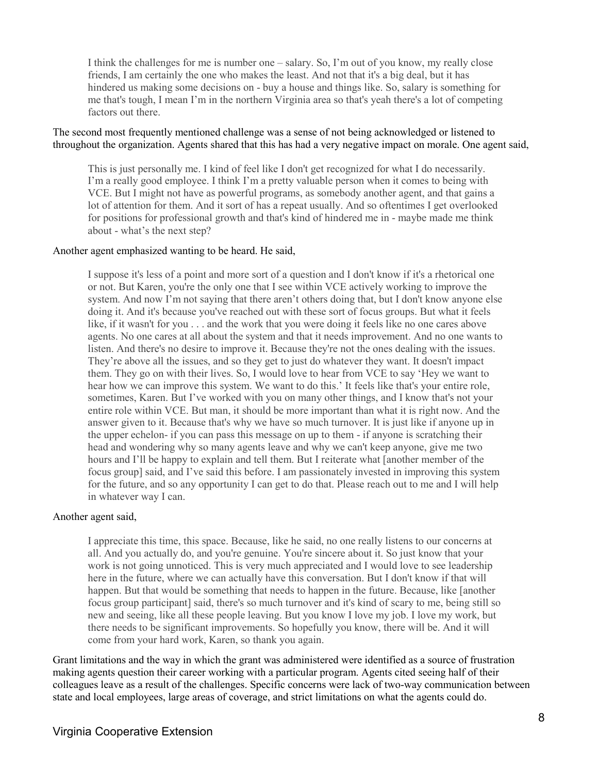I think the challenges for me is number one – salary. So, I'm out of you know, my really close friends, I am certainly the one who makes the least. And not that it's a big deal, but it has hindered us making some decisions on - buy a house and things like. So, salary is something for me that's tough, I mean I'm in the northern Virginia area so that's yeah there's a lot of competing factors out there.

#### The second most frequently mentioned challenge was a sense of not being acknowledged or listened to throughout the organization. Agents shared that this has had a very negative impact on morale. One agent said,

This is just personally me. I kind of feel like I don't get recognized for what I do necessarily. I'm a really good employee. I think I'm a pretty valuable person when it comes to being with VCE. But I might not have as powerful programs, as somebody another agent, and that gains a lot of attention for them. And it sort of has a repeat usually. And so oftentimes I get overlooked for positions for professional growth and that's kind of hindered me in - maybe made me think about - what's the next step?

#### Another agent emphasized wanting to be heard. He said,

I suppose it's less of a point and more sort of a question and I don't know if it's a rhetorical one or not. But Karen, you're the only one that I see within VCE actively working to improve the system. And now I'm not saying that there aren't others doing that, but I don't know anyone else doing it. And it's because you've reached out with these sort of focus groups. But what it feels like, if it wasn't for you . . . and the work that you were doing it feels like no one cares above agents. No one cares at all about the system and that it needs improvement. And no one wants to listen. And there's no desire to improve it. Because they're not the ones dealing with the issues. They're above all the issues, and so they get to just do whatever they want. It doesn't impact them. They go on with their lives. So, I would love to hear from VCE to say 'Hey we want to hear how we can improve this system. We want to do this.' It feels like that's your entire role, sometimes, Karen. But I've worked with you on many other things, and I know that's not your entire role within VCE. But man, it should be more important than what it is right now. And the answer given to it. Because that's why we have so much turnover. It is just like if anyone up in the upper echelon- if you can pass this message on up to them - if anyone is scratching their head and wondering why so many agents leave and why we can't keep anyone, give me two hours and I'll be happy to explain and tell them. But I reiterate what [another member of the focus group] said, and I've said this before. I am passionately invested in improving this system for the future, and so any opportunity I can get to do that. Please reach out to me and I will help in whatever way I can.

#### Another agent said,

I appreciate this time, this space. Because, like he said, no one really listens to our concerns at all. And you actually do, and you're genuine. You're sincere about it. So just know that your work is not going unnoticed. This is very much appreciated and I would love to see leadership here in the future, where we can actually have this conversation. But I don't know if that will happen. But that would be something that needs to happen in the future. Because, like [another focus group participant] said, there's so much turnover and it's kind of scary to me, being still so new and seeing, like all these people leaving. But you know I love my job. I love my work, but there needs to be significant improvements. So hopefully you know, there will be. And it will come from your hard work, Karen, so thank you again.

Grant limitations and the way in which the grant was administered were identified as a source of frustration making agents question their career working with a particular program. Agents cited seeing half of their colleagues leave as a result of the challenges. Specific concerns were lack of two-way communication between state and local employees, large areas of coverage, and strict limitations on what the agents could do.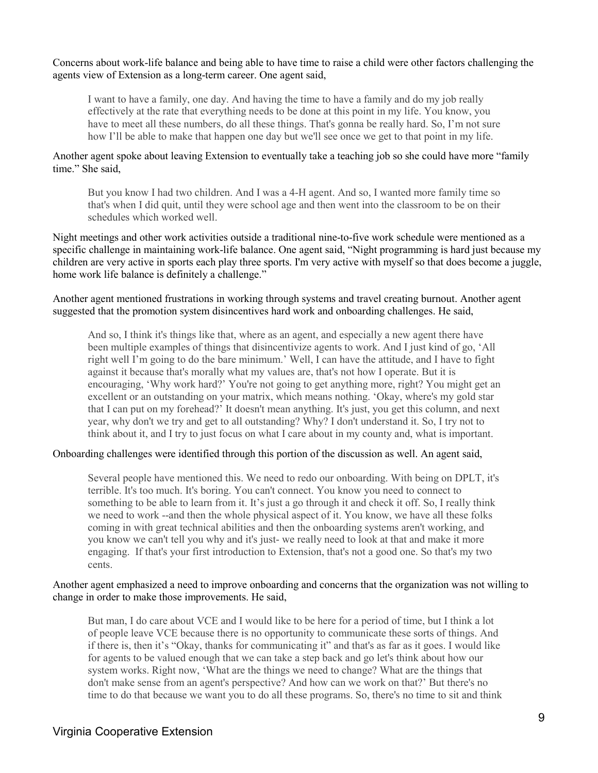Concerns about work-life balance and being able to have time to raise a child were other factors challenging the agents view of Extension as a long-term career. One agent said,

I want to have a family, one day. And having the time to have a family and do my job really effectively at the rate that everything needs to be done at this point in my life. You know, you have to meet all these numbers, do all these things. That's gonna be really hard. So, I'm not sure how I'll be able to make that happen one day but we'll see once we get to that point in my life.

Another agent spoke about leaving Extension to eventually take a teaching job so she could have more "family time." She said,

But you know I had two children. And I was a 4-H agent. And so, I wanted more family time so that's when I did quit, until they were school age and then went into the classroom to be on their schedules which worked well.

Night meetings and other work activities outside a traditional nine-to-five work schedule were mentioned as a specific challenge in maintaining work-life balance. One agent said, "Night programming is hard just because my children are very active in sports each play three sports. I'm very active with myself so that does become a juggle, home work life balance is definitely a challenge."

Another agent mentioned frustrations in working through systems and travel creating burnout. Another agent suggested that the promotion system disincentives hard work and onboarding challenges. He said,

And so, I think it's things like that, where as an agent, and especially a new agent there have been multiple examples of things that disincentivize agents to work. And I just kind of go, 'All right well I'm going to do the bare minimum.' Well, I can have the attitude, and I have to fight against it because that's morally what my values are, that's not how I operate. But it is encouraging, 'Why work hard?' You're not going to get anything more, right? You might get an excellent or an outstanding on your matrix, which means nothing. 'Okay, where's my gold star that I can put on my forehead?' It doesn't mean anything. It's just, you get this column, and next year, why don't we try and get to all outstanding? Why? I don't understand it. So, I try not to think about it, and I try to just focus on what I care about in my county and, what is important.

Onboarding challenges were identified through this portion of the discussion as well. An agent said,

Several people have mentioned this. We need to redo our onboarding. With being on DPLT, it's terrible. It's too much. It's boring. You can't connect. You know you need to connect to something to be able to learn from it. It's just a go through it and check it off. So, I really think we need to work --and then the whole physical aspect of it. You know, we have all these folks coming in with great technical abilities and then the onboarding systems aren't working, and you know we can't tell you why and it's just- we really need to look at that and make it more engaging. If that's your first introduction to Extension, that's not a good one. So that's my two cents.

#### Another agent emphasized a need to improve onboarding and concerns that the organization was not willing to change in order to make those improvements. He said,

But man, I do care about VCE and I would like to be here for a period of time, but I think a lot of people leave VCE because there is no opportunity to communicate these sorts of things. And if there is, then it's "Okay, thanks for communicating it" and that's as far as it goes. I would like for agents to be valued enough that we can take a step back and go let's think about how our system works. Right now, 'What are the things we need to change? What are the things that don't make sense from an agent's perspective? And how can we work on that?' But there's no time to do that because we want you to do all these programs. So, there's no time to sit and think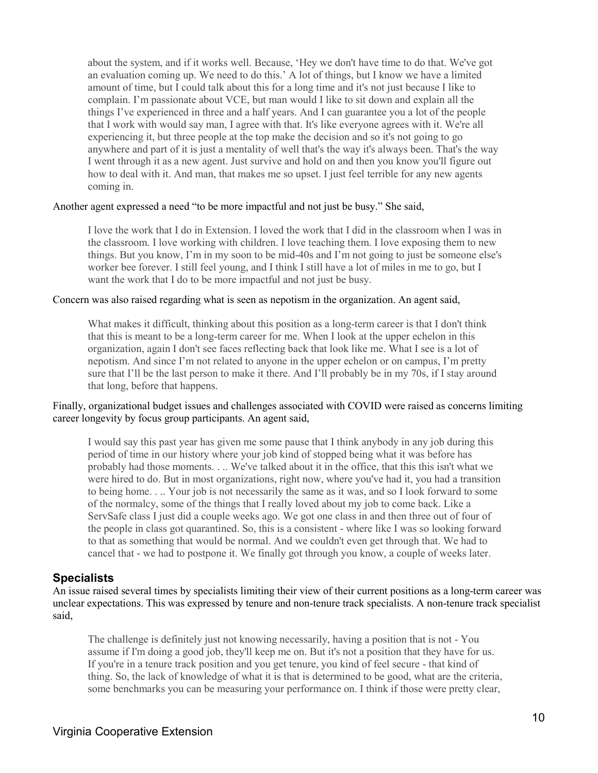about the system, and if it works well. Because, 'Hey we don't have time to do that. We've got an evaluation coming up. We need to do this.' A lot of things, but I know we have a limited amount of time, but I could talk about this for a long time and it's not just because I like to complain. I'm passionate about VCE, but man would I like to sit down and explain all the things I've experienced in three and a half years. And I can guarantee you a lot of the people that I work with would say man, I agree with that. It's like everyone agrees with it. We're all experiencing it, but three people at the top make the decision and so it's not going to go anywhere and part of it is just a mentality of well that's the way it's always been. That's the way I went through it as a new agent. Just survive and hold on and then you know you'll figure out how to deal with it. And man, that makes me so upset. I just feel terrible for any new agents coming in.

#### Another agent expressed a need "to be more impactful and not just be busy." She said,

I love the work that I do in Extension. I loved the work that I did in the classroom when I was in the classroom. I love working with children. I love teaching them. I love exposing them to new things. But you know, I'm in my soon to be mid-40s and I'm not going to just be someone else's worker bee forever. I still feel young, and I think I still have a lot of miles in me to go, but I want the work that I do to be more impactful and not just be busy.

#### Concern was also raised regarding what is seen as nepotism in the organization. An agent said,

What makes it difficult, thinking about this position as a long-term career is that I don't think that this is meant to be a long-term career for me. When I look at the upper echelon in this organization, again I don't see faces reflecting back that look like me. What I see is a lot of nepotism. And since I'm not related to anyone in the upper echelon or on campus, I'm pretty sure that I'll be the last person to make it there. And I'll probably be in my 70s, if I stay around that long, before that happens.

#### Finally, organizational budget issues and challenges associated with COVID were raised as concerns limiting career longevity by focus group participants. An agent said,

I would say this past year has given me some pause that I think anybody in any job during this period of time in our history where your job kind of stopped being what it was before has probably had those moments. . .. We've talked about it in the office, that this this isn't what we were hired to do. But in most organizations, right now, where you've had it, you had a transition to being home. . .. Your job is not necessarily the same as it was, and so I look forward to some of the normalcy, some of the things that I really loved about my job to come back. Like a ServSafe class I just did a couple weeks ago. We got one class in and then three out of four of the people in class got quarantined. So, this is a consistent - where like I was so looking forward to that as something that would be normal. And we couldn't even get through that. We had to cancel that - we had to postpone it. We finally got through you know, a couple of weeks later.

#### **Specialists**

An issue raised several times by specialists limiting their view of their current positions as a long-term career was unclear expectations. This was expressed by tenure and non-tenure track specialists. A non-tenure track specialist said,

The challenge is definitely just not knowing necessarily, having a position that is not - You assume if I'm doing a good job, they'll keep me on. But it's not a position that they have for us. If you're in a tenure track position and you get tenure, you kind of feel secure - that kind of thing. So, the lack of knowledge of what it is that is determined to be good, what are the criteria, some benchmarks you can be measuring your performance on. I think if those were pretty clear,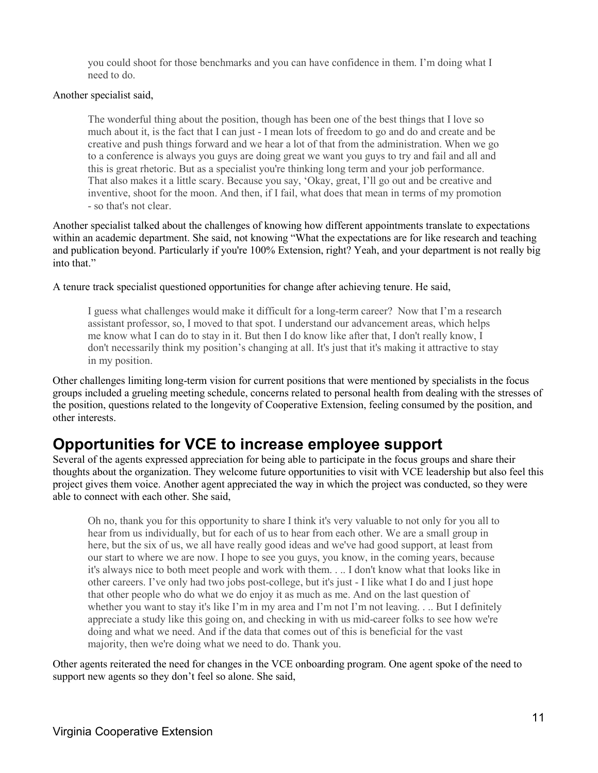you could shoot for those benchmarks and you can have confidence in them. I'm doing what I need to do.

#### Another specialist said,

The wonderful thing about the position, though has been one of the best things that I love so much about it, is the fact that I can just - I mean lots of freedom to go and do and create and be creative and push things forward and we hear a lot of that from the administration. When we go to a conference is always you guys are doing great we want you guys to try and fail and all and this is great rhetoric. But as a specialist you're thinking long term and your job performance. That also makes it a little scary. Because you say, 'Okay, great, I'll go out and be creative and inventive, shoot for the moon. And then, if I fail, what does that mean in terms of my promotion - so that's not clear.

Another specialist talked about the challenges of knowing how different appointments translate to expectations within an academic department. She said, not knowing "What the expectations are for like research and teaching and publication beyond. Particularly if you're 100% Extension, right? Yeah, and your department is not really big into that."

A tenure track specialist questioned opportunities for change after achieving tenure. He said,

I guess what challenges would make it difficult for a long-term career? Now that I'm a research assistant professor, so, I moved to that spot. I understand our advancement areas, which helps me know what I can do to stay in it. But then I do know like after that, I don't really know, I don't necessarily think my position's changing at all. It's just that it's making it attractive to stay in my position.

Other challenges limiting long-term vision for current positions that were mentioned by specialists in the focus groups included a grueling meeting schedule, concerns related to personal health from dealing with the stresses of the position, questions related to the longevity of Cooperative Extension, feeling consumed by the position, and other interests.

### **Opportunities for VCE to increase employee support**

Several of the agents expressed appreciation for being able to participate in the focus groups and share their thoughts about the organization. They welcome future opportunities to visit with VCE leadership but also feel this project gives them voice. Another agent appreciated the way in which the project was conducted, so they were able to connect with each other. She said,

Oh no, thank you for this opportunity to share I think it's very valuable to not only for you all to hear from us individually, but for each of us to hear from each other. We are a small group in here, but the six of us, we all have really good ideas and we've had good support, at least from our start to where we are now. I hope to see you guys, you know, in the coming years, because it's always nice to both meet people and work with them. . .. I don't know what that looks like in other careers. I've only had two jobs post-college, but it's just - I like what I do and I just hope that other people who do what we do enjoy it as much as me. And on the last question of whether you want to stay it's like I'm in my area and I'm not I'm not leaving. . .. But I definitely appreciate a study like this going on, and checking in with us mid-career folks to see how we're doing and what we need. And if the data that comes out of this is beneficial for the vast majority, then we're doing what we need to do. Thank you.

Other agents reiterated the need for changes in the VCE onboarding program. One agent spoke of the need to support new agents so they don't feel so alone. She said,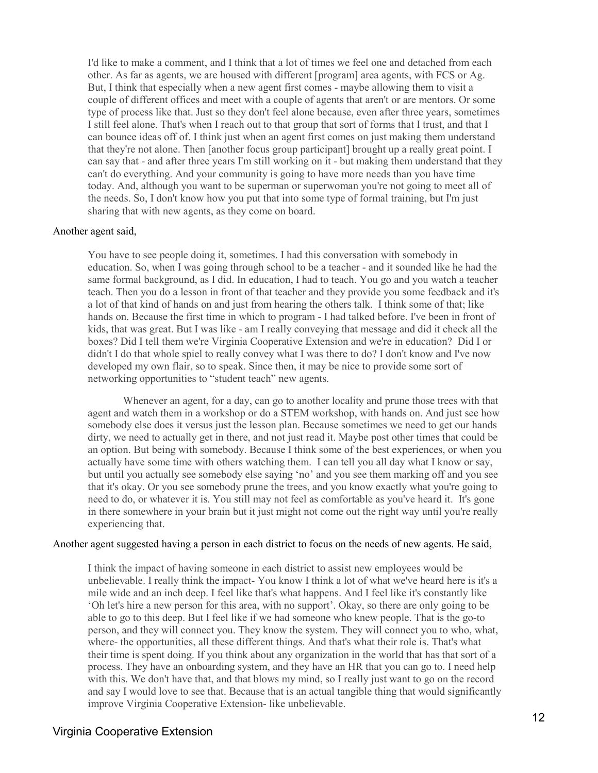I'd like to make a comment, and I think that a lot of times we feel one and detached from each other. As far as agents, we are housed with different [program] area agents, with FCS or Ag. But, I think that especially when a new agent first comes - maybe allowing them to visit a couple of different offices and meet with a couple of agents that aren't or are mentors. Or some type of process like that. Just so they don't feel alone because, even after three years, sometimes I still feel alone. That's when I reach out to that group that sort of forms that I trust, and that I can bounce ideas off of. I think just when an agent first comes on just making them understand that they're not alone. Then [another focus group participant] brought up a really great point. I can say that - and after three years I'm still working on it - but making them understand that they can't do everything. And your community is going to have more needs than you have time today. And, although you want to be superman or superwoman you're not going to meet all of the needs. So, I don't know how you put that into some type of formal training, but I'm just sharing that with new agents, as they come on board.

#### Another agent said,

You have to see people doing it, sometimes. I had this conversation with somebody in education. So, when I was going through school to be a teacher - and it sounded like he had the same formal background, as I did. In education, I had to teach. You go and you watch a teacher teach. Then you do a lesson in front of that teacher and they provide you some feedback and it's a lot of that kind of hands on and just from hearing the others talk. I think some of that; like hands on. Because the first time in which to program - I had talked before. I've been in front of kids, that was great. But I was like - am I really conveying that message and did it check all the boxes? Did I tell them we're Virginia Cooperative Extension and we're in education? Did I or didn't I do that whole spiel to really convey what I was there to do? I don't know and I've now developed my own flair, so to speak. Since then, it may be nice to provide some sort of networking opportunities to "student teach" new agents.

Whenever an agent, for a day, can go to another locality and prune those trees with that agent and watch them in a workshop or do a STEM workshop, with hands on. And just see how somebody else does it versus just the lesson plan. Because sometimes we need to get our hands dirty, we need to actually get in there, and not just read it. Maybe post other times that could be an option. But being with somebody. Because I think some of the best experiences, or when you actually have some time with others watching them. I can tell you all day what I know or say, but until you actually see somebody else saying 'no' and you see them marking off and you see that it's okay. Or you see somebody prune the trees, and you know exactly what you're going to need to do, or whatever it is. You still may not feel as comfortable as you've heard it. It's gone in there somewhere in your brain but it just might not come out the right way until you're really experiencing that.

#### Another agent suggested having a person in each district to focus on the needs of new agents. He said,

I think the impact of having someone in each district to assist new employees would be unbelievable. I really think the impact- You know I think a lot of what we've heard here is it's a mile wide and an inch deep. I feel like that's what happens. And I feel like it's constantly like 'Oh let's hire a new person for this area, with no support'. Okay, so there are only going to be able to go to this deep. But I feel like if we had someone who knew people. That is the go-to person, and they will connect you. They know the system. They will connect you to who, what, where- the opportunities, all these different things. And that's what their role is. That's what their time is spent doing. If you think about any organization in the world that has that sort of a process. They have an onboarding system, and they have an HR that you can go to. I need help with this. We don't have that, and that blows my mind, so I really just want to go on the record and say I would love to see that. Because that is an actual tangible thing that would significantly improve Virginia Cooperative Extension- like unbelievable.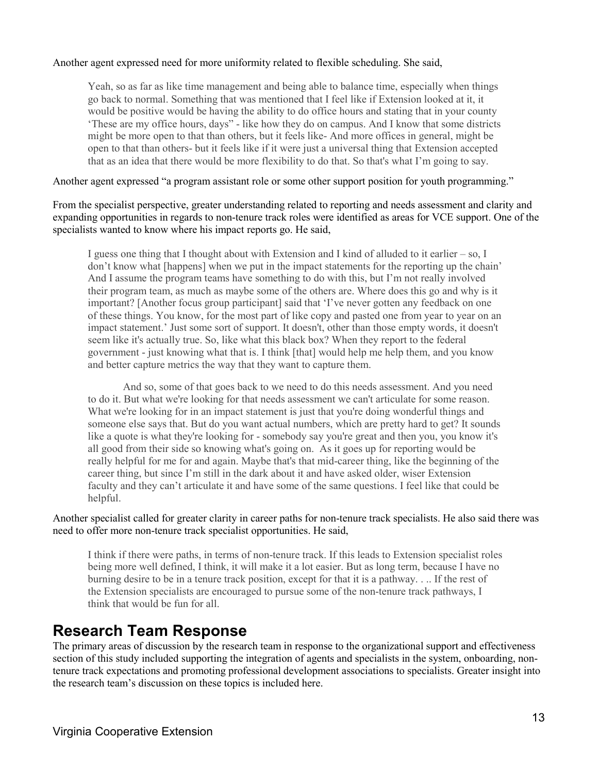#### Another agent expressed need for more uniformity related to flexible scheduling. She said,

Yeah, so as far as like time management and being able to balance time, especially when things go back to normal. Something that was mentioned that I feel like if Extension looked at it, it would be positive would be having the ability to do office hours and stating that in your county 'These are my office hours, days" - like how they do on campus. And I know that some districts might be more open to that than others, but it feels like- And more offices in general, might be open to that than others- but it feels like if it were just a universal thing that Extension accepted that as an idea that there would be more flexibility to do that. So that's what I'm going to say.

Another agent expressed "a program assistant role or some other support position for youth programming."

From the specialist perspective, greater understanding related to reporting and needs assessment and clarity and expanding opportunities in regards to non-tenure track roles were identified as areas for VCE support. One of the specialists wanted to know where his impact reports go. He said,

I guess one thing that I thought about with Extension and I kind of alluded to it earlier – so, I don't know what [happens] when we put in the impact statements for the reporting up the chain' And I assume the program teams have something to do with this, but I'm not really involved their program team, as much as maybe some of the others are. Where does this go and why is it important? [Another focus group participant] said that 'I've never gotten any feedback on one of these things. You know, for the most part of like copy and pasted one from year to year on an impact statement.' Just some sort of support. It doesn't, other than those empty words, it doesn't seem like it's actually true. So, like what this black box? When they report to the federal government - just knowing what that is. I think [that] would help me help them, and you know and better capture metrics the way that they want to capture them.

And so, some of that goes back to we need to do this needs assessment. And you need to do it. But what we're looking for that needs assessment we can't articulate for some reason. What we're looking for in an impact statement is just that you're doing wonderful things and someone else says that. But do you want actual numbers, which are pretty hard to get? It sounds like a quote is what they're looking for - somebody say you're great and then you, you know it's all good from their side so knowing what's going on. As it goes up for reporting would be really helpful for me for and again. Maybe that's that mid-career thing, like the beginning of the career thing, but since I'm still in the dark about it and have asked older, wiser Extension faculty and they can't articulate it and have some of the same questions. I feel like that could be helpful.

Another specialist called for greater clarity in career paths for non-tenure track specialists. He also said there was need to offer more non-tenure track specialist opportunities. He said,

I think if there were paths, in terms of non-tenure track. If this leads to Extension specialist roles being more well defined, I think, it will make it a lot easier. But as long term, because I have no burning desire to be in a tenure track position, except for that it is a pathway. . .. If the rest of the Extension specialists are encouraged to pursue some of the non-tenure track pathways, I think that would be fun for all.

### **Research Team Response**

The primary areas of discussion by the research team in response to the organizational support and effectiveness section of this study included supporting the integration of agents and specialists in the system, onboarding, nontenure track expectations and promoting professional development associations to specialists. Greater insight into the research team's discussion on these topics is included here.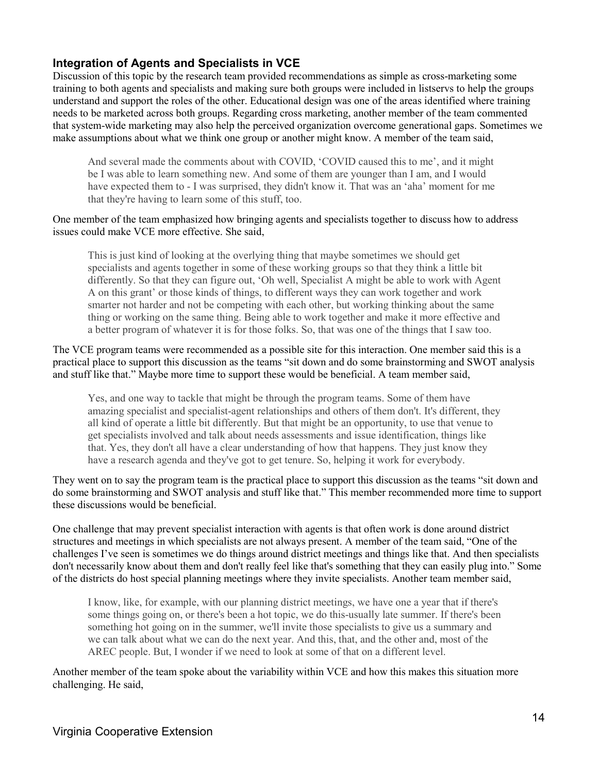#### **Integration of Agents and Specialists in VCE**

Discussion of this topic by the research team provided recommendations as simple as cross-marketing some training to both agents and specialists and making sure both groups were included in listservs to help the groups understand and support the roles of the other. Educational design was one of the areas identified where training needs to be marketed across both groups. Regarding cross marketing, another member of the team commented that system-wide marketing may also help the perceived organization overcome generational gaps. Sometimes we make assumptions about what we think one group or another might know. A member of the team said,

And several made the comments about with COVID, 'COVID caused this to me', and it might be I was able to learn something new. And some of them are younger than I am, and I would have expected them to - I was surprised, they didn't know it. That was an 'aha' moment for me that they're having to learn some of this stuff, too.

#### One member of the team emphasized how bringing agents and specialists together to discuss how to address issues could make VCE more effective. She said,

This is just kind of looking at the overlying thing that maybe sometimes we should get specialists and agents together in some of these working groups so that they think a little bit differently. So that they can figure out, 'Oh well, Specialist A might be able to work with Agent A on this grant' or those kinds of things, to different ways they can work together and work smarter not harder and not be competing with each other, but working thinking about the same thing or working on the same thing. Being able to work together and make it more effective and a better program of whatever it is for those folks. So, that was one of the things that I saw too.

The VCE program teams were recommended as a possible site for this interaction. One member said this is a practical place to support this discussion as the teams "sit down and do some brainstorming and SWOT analysis and stuff like that." Maybe more time to support these would be beneficial. A team member said,

Yes, and one way to tackle that might be through the program teams. Some of them have amazing specialist and specialist-agent relationships and others of them don't. It's different, they all kind of operate a little bit differently. But that might be an opportunity, to use that venue to get specialists involved and talk about needs assessments and issue identification, things like that. Yes, they don't all have a clear understanding of how that happens. They just know they have a research agenda and they've got to get tenure. So, helping it work for everybody.

They went on to say the program team is the practical place to support this discussion as the teams "sit down and do some brainstorming and SWOT analysis and stuff like that." This member recommended more time to support these discussions would be beneficial.

One challenge that may prevent specialist interaction with agents is that often work is done around district structures and meetings in which specialists are not always present. A member of the team said, "One of the challenges I've seen is sometimes we do things around district meetings and things like that. And then specialists don't necessarily know about them and don't really feel like that's something that they can easily plug into." Some of the districts do host special planning meetings where they invite specialists. Another team member said,

I know, like, for example, with our planning district meetings, we have one a year that if there's some things going on, or there's been a hot topic, we do this-usually late summer. If there's been something hot going on in the summer, we'll invite those specialists to give us a summary and we can talk about what we can do the next year. And this, that, and the other and, most of the AREC people. But, I wonder if we need to look at some of that on a different level.

Another member of the team spoke about the variability within VCE and how this makes this situation more challenging. He said,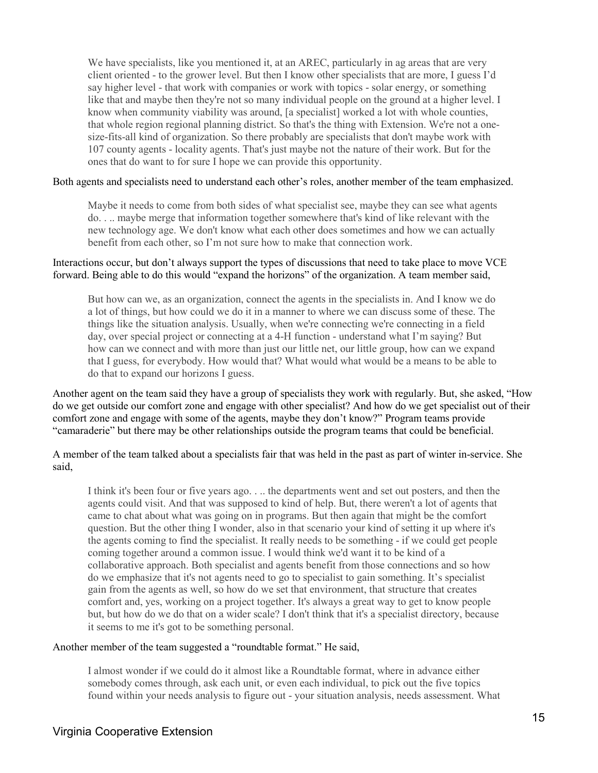We have specialists, like you mentioned it, at an AREC, particularly in ag areas that are very client oriented - to the grower level. But then I know other specialists that are more, I guess I'd say higher level - that work with companies or work with topics - solar energy, or something like that and maybe then they're not so many individual people on the ground at a higher level. I know when community viability was around, [a specialist] worked a lot with whole counties, that whole region regional planning district. So that's the thing with Extension. We're not a onesize-fits-all kind of organization. So there probably are specialists that don't maybe work with 107 county agents - locality agents. That's just maybe not the nature of their work. But for the ones that do want to for sure I hope we can provide this opportunity.

#### Both agents and specialists need to understand each other's roles, another member of the team emphasized.

Maybe it needs to come from both sides of what specialist see, maybe they can see what agents do. . .. maybe merge that information together somewhere that's kind of like relevant with the new technology age. We don't know what each other does sometimes and how we can actually benefit from each other, so I'm not sure how to make that connection work.

#### Interactions occur, but don't always support the types of discussions that need to take place to move VCE forward. Being able to do this would "expand the horizons" of the organization. A team member said,

But how can we, as an organization, connect the agents in the specialists in. And I know we do a lot of things, but how could we do it in a manner to where we can discuss some of these. The things like the situation analysis. Usually, when we're connecting we're connecting in a field day, over special project or connecting at a 4-H function - understand what I'm saying? But how can we connect and with more than just our little net, our little group, how can we expand that I guess, for everybody. How would that? What would what would be a means to be able to do that to expand our horizons I guess.

Another agent on the team said they have a group of specialists they work with regularly. But, she asked, "How do we get outside our comfort zone and engage with other specialist? And how do we get specialist out of their comfort zone and engage with some of the agents, maybe they don't know?" Program teams provide "camaraderie" but there may be other relationships outside the program teams that could be beneficial.

A member of the team talked about a specialists fair that was held in the past as part of winter in-service. She said,

I think it's been four or five years ago. . .. the departments went and set out posters, and then the agents could visit. And that was supposed to kind of help. But, there weren't a lot of agents that came to chat about what was going on in programs. But then again that might be the comfort question. But the other thing I wonder, also in that scenario your kind of setting it up where it's the agents coming to find the specialist. It really needs to be something - if we could get people coming together around a common issue. I would think we'd want it to be kind of a collaborative approach. Both specialist and agents benefit from those connections and so how do we emphasize that it's not agents need to go to specialist to gain something. It's specialist gain from the agents as well, so how do we set that environment, that structure that creates comfort and, yes, working on a project together. It's always a great way to get to know people but, but how do we do that on a wider scale? I don't think that it's a specialist directory, because it seems to me it's got to be something personal.

#### Another member of the team suggested a "roundtable format." He said,

I almost wonder if we could do it almost like a Roundtable format, where in advance either somebody comes through, ask each unit, or even each individual, to pick out the five topics found within your needs analysis to figure out - your situation analysis, needs assessment. What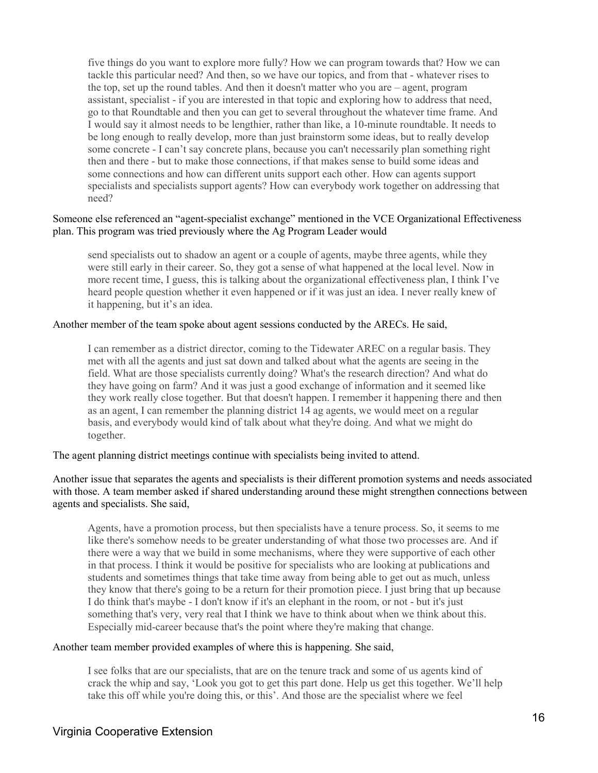five things do you want to explore more fully? How we can program towards that? How we can tackle this particular need? And then, so we have our topics, and from that - whatever rises to the top, set up the round tables. And then it doesn't matter who you are – agent, program assistant, specialist - if you are interested in that topic and exploring how to address that need, go to that Roundtable and then you can get to several throughout the whatever time frame. And I would say it almost needs to be lengthier, rather than like, a 10-minute roundtable. It needs to be long enough to really develop, more than just brainstorm some ideas, but to really develop some concrete - I can't say concrete plans, because you can't necessarily plan something right then and there - but to make those connections, if that makes sense to build some ideas and some connections and how can different units support each other. How can agents support specialists and specialists support agents? How can everybody work together on addressing that need?

#### Someone else referenced an "agent-specialist exchange" mentioned in the VCE Organizational Effectiveness plan. This program was tried previously where the Ag Program Leader would

send specialists out to shadow an agent or a couple of agents, maybe three agents, while they were still early in their career. So, they got a sense of what happened at the local level. Now in more recent time, I guess, this is talking about the organizational effectiveness plan, I think I've heard people question whether it even happened or if it was just an idea. I never really knew of it happening, but it's an idea.

#### Another member of the team spoke about agent sessions conducted by the ARECs. He said,

I can remember as a district director, coming to the Tidewater AREC on a regular basis. They met with all the agents and just sat down and talked about what the agents are seeing in the field. What are those specialists currently doing? What's the research direction? And what do they have going on farm? And it was just a good exchange of information and it seemed like they work really close together. But that doesn't happen. I remember it happening there and then as an agent, I can remember the planning district 14 ag agents, we would meet on a regular basis, and everybody would kind of talk about what they're doing. And what we might do together.

The agent planning district meetings continue with specialists being invited to attend.

Another issue that separates the agents and specialists is their different promotion systems and needs associated with those. A team member asked if shared understanding around these might strengthen connections between agents and specialists. She said,

Agents, have a promotion process, but then specialists have a tenure process. So, it seems to me like there's somehow needs to be greater understanding of what those two processes are. And if there were a way that we build in some mechanisms, where they were supportive of each other in that process. I think it would be positive for specialists who are looking at publications and students and sometimes things that take time away from being able to get out as much, unless they know that there's going to be a return for their promotion piece. I just bring that up because I do think that's maybe - I don't know if it's an elephant in the room, or not - but it's just something that's very, very real that I think we have to think about when we think about this. Especially mid-career because that's the point where they're making that change.

#### Another team member provided examples of where this is happening. She said,

I see folks that are our specialists, that are on the tenure track and some of us agents kind of crack the whip and say, 'Look you got to get this part done. Help us get this together. We'll help take this off while you're doing this, or this'. And those are the specialist where we feel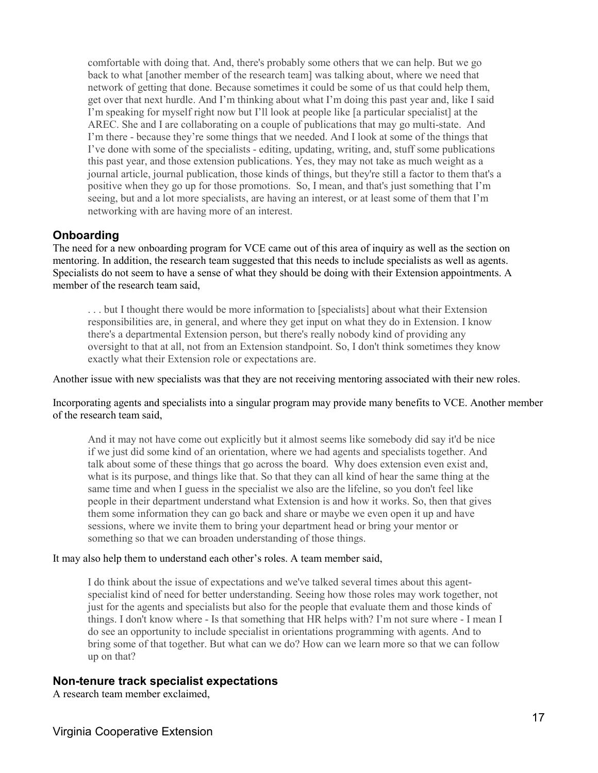comfortable with doing that. And, there's probably some others that we can help. But we go back to what [another member of the research team] was talking about, where we need that network of getting that done. Because sometimes it could be some of us that could help them, get over that next hurdle. And I'm thinking about what I'm doing this past year and, like I said I'm speaking for myself right now but I'll look at people like [a particular specialist] at the AREC. She and I are collaborating on a couple of publications that may go multi-state. And I'm there - because they're some things that we needed. And I look at some of the things that I've done with some of the specialists - editing, updating, writing, and, stuff some publications this past year, and those extension publications. Yes, they may not take as much weight as a journal article, journal publication, those kinds of things, but they're still a factor to them that's a positive when they go up for those promotions. So, I mean, and that's just something that I'm seeing, but and a lot more specialists, are having an interest, or at least some of them that I'm networking with are having more of an interest.

#### **Onboarding**

The need for a new onboarding program for VCE came out of this area of inquiry as well as the section on mentoring. In addition, the research team suggested that this needs to include specialists as well as agents. Specialists do not seem to have a sense of what they should be doing with their Extension appointments. A member of the research team said,

. . . but I thought there would be more information to [specialists] about what their Extension responsibilities are, in general, and where they get input on what they do in Extension. I know there's a departmental Extension person, but there's really nobody kind of providing any oversight to that at all, not from an Extension standpoint. So, I don't think sometimes they know exactly what their Extension role or expectations are.

Another issue with new specialists was that they are not receiving mentoring associated with their new roles.

Incorporating agents and specialists into a singular program may provide many benefits to VCE. Another member of the research team said,

And it may not have come out explicitly but it almost seems like somebody did say it'd be nice if we just did some kind of an orientation, where we had agents and specialists together. And talk about some of these things that go across the board. Why does extension even exist and, what is its purpose, and things like that. So that they can all kind of hear the same thing at the same time and when I guess in the specialist we also are the lifeline, so you don't feel like people in their department understand what Extension is and how it works. So, then that gives them some information they can go back and share or maybe we even open it up and have sessions, where we invite them to bring your department head or bring your mentor or something so that we can broaden understanding of those things.

#### It may also help them to understand each other's roles. A team member said,

I do think about the issue of expectations and we've talked several times about this agentspecialist kind of need for better understanding. Seeing how those roles may work together, not just for the agents and specialists but also for the people that evaluate them and those kinds of things. I don't know where - Is that something that HR helps with? I'm not sure where - I mean I do see an opportunity to include specialist in orientations programming with agents. And to bring some of that together. But what can we do? How can we learn more so that we can follow up on that?

#### **Non-tenure track specialist expectations**

A research team member exclaimed,